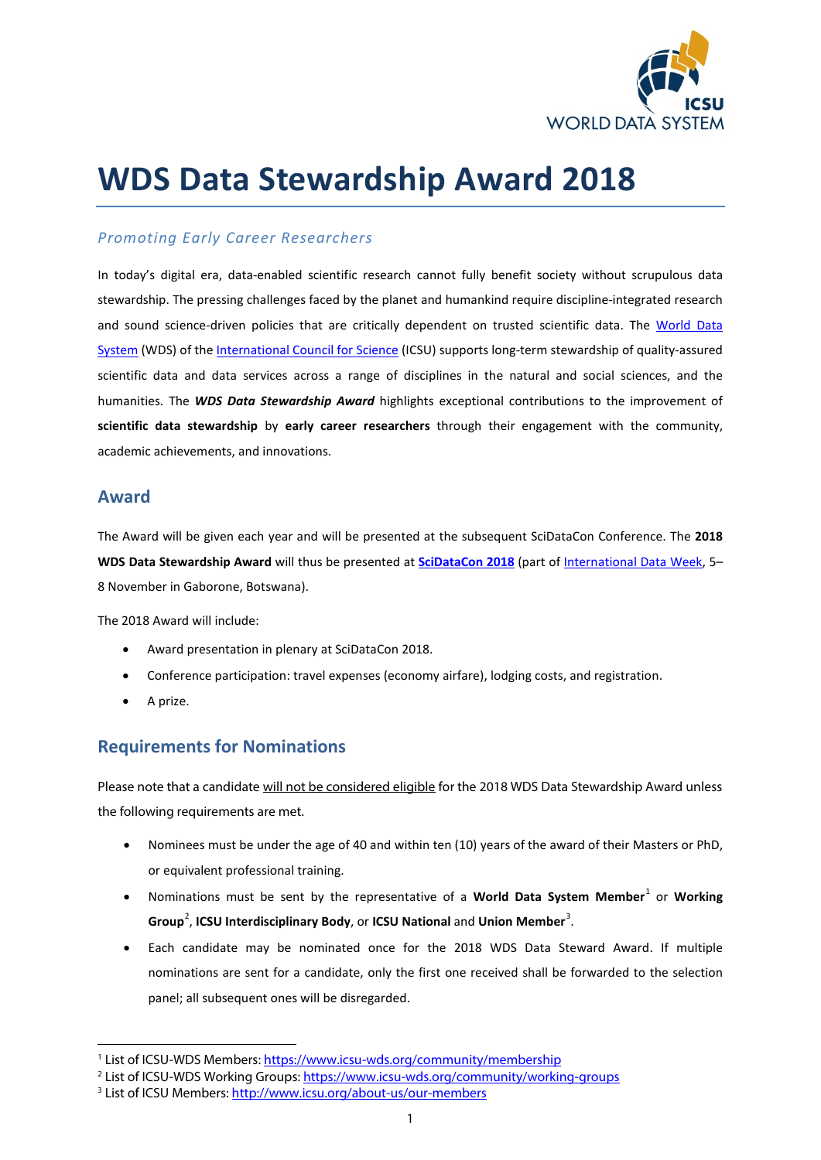

# **WDS Data Stewardship Award 2018**

#### *Promoting Early Career Researchers*

In today's digital era, data-enabled scientific research cannot fully benefit society without scrupulous data stewardship. The pressing challenges faced by the planet and humankind require discipline-integrated research and sound science-driven policies that are critically dependent on trusted scientific data. The [World Data](http://www.icsu-wds.org/)  [System](http://www.icsu-wds.org/) (WDS) of the [International Council for Science](http://www.icsu.org/) (ICSU) supports long-term stewardship of quality-assured scientific data and data services across a range of disciplines in the natural and social sciences, and the humanities. The *WDS Data Stewardship Award* highlights exceptional contributions to the improvement of **scientific data stewardship** by **early career researchers** through their engagement with the community, academic achievements, and innovations.

#### **Award**

The Award will be given each year and will be presented at the subsequent SciDataCon Conference. The **2018 WDS Data Stewardship Award** will thus be presented at **[SciDataCon 2018](https://www.scidatacon.org/IDW2018/)** (part of [International Data Week,](http://internationaldataweek.org/) 5– 8 November in Gaborone, Botswana).

The 2018 Award will include:

- Award presentation in plenary at SciDataCon 2018.
- Conference participation: travel expenses (economy airfare), lodging costs, and registration.
- A prize.

**.** 

### **Requirements for Nominations**

Please note that a candidate will not be considered eligible for the 2018 WDS Data Stewardship Award unless the following requirements are met.

- Nominees must be under the age of 40 and within ten (10) years of the award of their Masters or PhD, or equivalent professional training.
- Nominations must be sent by the representative of a **World Data System Member**[1](#page-0-0) or **Working**  Group<sup>[2](#page-0-1)</sup>, ICSU Interdisciplinary Body, or ICSU National and Union Member<sup>[3](#page-0-2)</sup>.
- Each candidate may be nominated once for the 2018 WDS Data Steward Award. If multiple nominations are sent for a candidate, only the first one received shall be forwarded to the selection panel; all subsequent ones will be disregarded.

<span id="page-0-1"></span><span id="page-0-0"></span><sup>&</sup>lt;sup>1</sup> List of ICSU-WDS Members: <u>https://www.icsu-wds.org/community/membership</u><br><sup>2</sup> List of ICSU-WDS Working Groups: <u>https://www.icsu-wds.org/community/working-groups</u> <sup>3</sup><br><sup>3</sup> List of ICSU Members: <u>http://www.icsu.org/abou</u>

<span id="page-0-2"></span>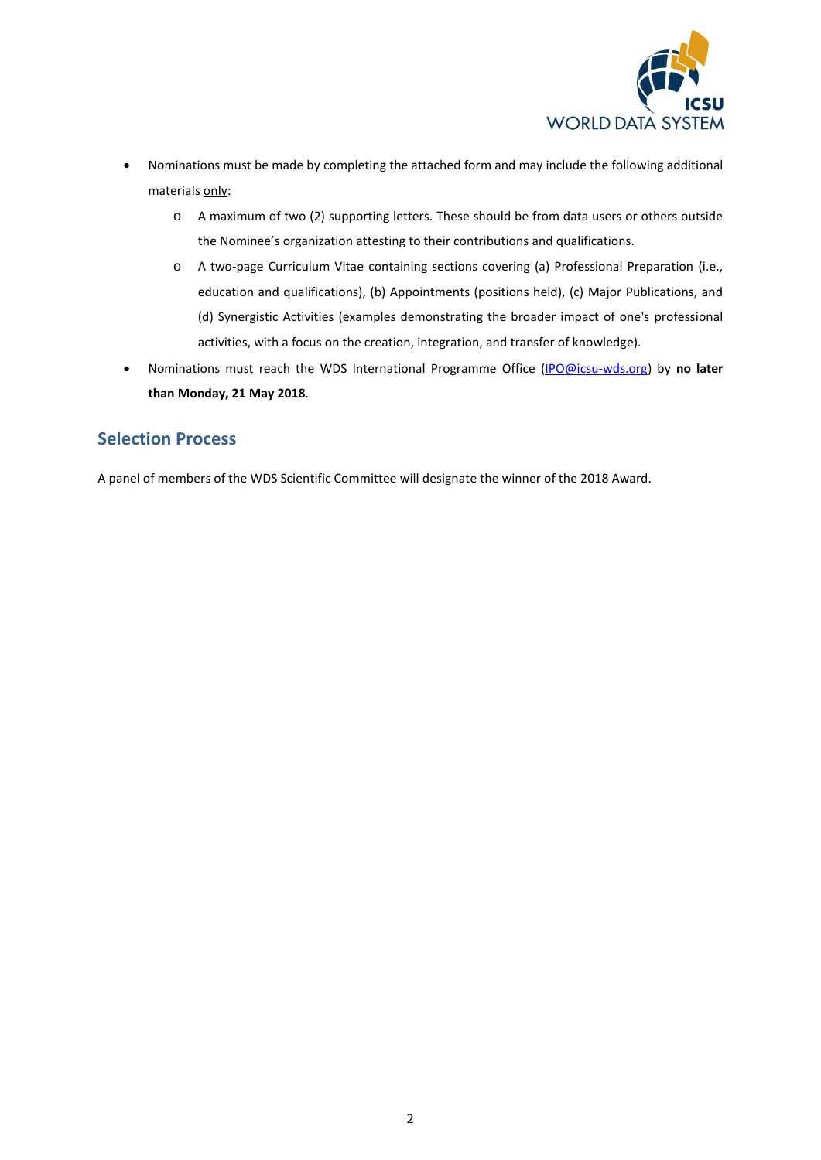

- Nominations must be made by completing the attached form and may include the following additional materials only:
	- o A maximum of two (2) supporting letters. These should be from data users or others outside the Nominee's organization attesting to their contributions and qualifications.
	- o A two-page Curriculum Vitae containing sections covering (a) Professional Preparation (i.e., education and qualifications), (b) Appointments (positions held), (c) Major Publications, and (d) Synergistic Activities (examples demonstrating the broader impact of one's professional activities, with a focus on the creation, integration, and transfer of knowledge).
- Nominations must reach the WDS International Programme Office [\(IPO@icsu-wds.org\)](mailto:ipo@icsu-wds.org?subject=WDS%20Data%20Stewardship%20Award) by **no later than Monday, 21 May 2018**.

#### **Selection Process**

A panel of members of the WDS Scientific Committee will designate the winner of the 2018 Award.